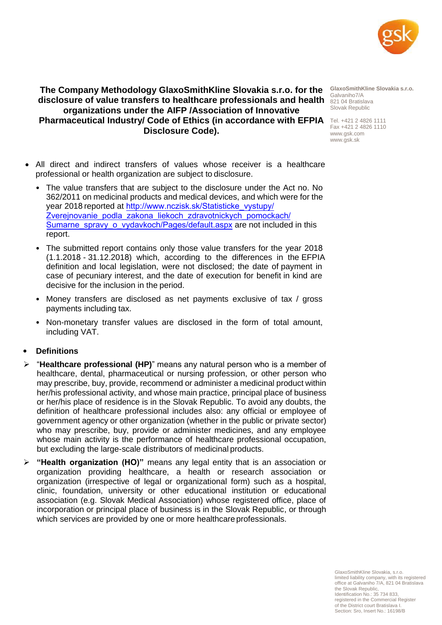

## **The Company Methodology GlaxoSmithKline Slovakia s.r.o. for the**  disclosure of value transfers to healthcare professionals and health **821 04 Bratislava organizations under the AIFP /Association of Innovative Pharmaceutical Industry/ Code of Ethics (in accordance with EFPIA** Tel. +421 2 4826 1111 **Disclosure Code).**

**GlaxoSmithKline Slovakia s.r.o.** Galvaniho7/A Slovak Republic

Fax +421 2 4826 1110 [www.gsk.com](http://www.gsk.com/) [www.gsk.sk](http://www.gsk.sk/)

- All direct and indirect transfers of values whose receiver is a healthcare professional or health organization are subject to disclosure.
	- The value transfers that are subject to the disclosure under the Act no. No 362/2011 on medicinal products and medical devices, and which were for the year 2018 reported at http://www.nczisk.sk/[Statisticke\\_vystupy/](http://www.nczisk.sk/Medicinska) [Zverejnovanie\\_podla\\_zakona\\_liekoch\\_zdravotnickych\\_pomockach/](http://www.nczisk.sk/Medicinska) [Sumarne\\_spravy\\_o\\_vydavkoch/Pages/defa](http://www.nczisk.sk/Medicinska-statistika/Zverejnovanie_na_zaklade-zakona_362-2011_liekoch_zdravotnickych_pomockach)ult.aspx are not included in this report.
	- The submitted report contains only those value transfers for the year 2018 (1.1.2018 - 31.12.2018) which, according to the differences in the EFPIA definition and local legislation, were not disclosed; the date of payment in case of pecuniary interest, and the date of execution for benefit in kind are decisive for the inclusion in the period.
	- Money transfers are disclosed as net payments exclusive of tax / gross payments including tax.
	- Non-monetary transfer values are disclosed in the form of total amount, including VAT.

# • **Definitions**

- ➢ "**Healthcare professional (HP)**" means any natural person who is a member of healthcare, dental, pharmaceutical or nursing profession, or other person who may prescribe, buy, provide, recommend or administer a medicinal product within her/his professional activity, and whose main practice, principal place of business or her/his place of residence is in the Slovak Republic. To avoid any doubts, the definition of healthcare professional includes also: any official or employee of government agency or other organization (whether in the public or private sector) who may prescribe, buy, provide or administer medicines, and any employee whose main activity is the performance of healthcare professional occupation, but excluding the large-scale distributors of medicinal products.
- ➢ **"Health organization (HO)"** means any legal entity that is an association or organization providing healthcare, a health or research association or organization (irrespective of legal or organizational form) such as a hospital, clinic, foundation, university or other educational institution or educational association (e.g. Slovak Medical Association) whose registered office, place of incorporation or principal place of business is in the Slovak Republic, or through which services are provided by one or more healthcare professionals.

GlaxoSmithKline Slovakia, s.r.o. limited liability company, with its registered office at Galvaniho 7/A, 821 04 Bratislava the Slovak Republic, Identification No.: 35 734 833, registered in the Commercial Register of the District court Bratislava I. Section: Sro, Insert No.: 16198/B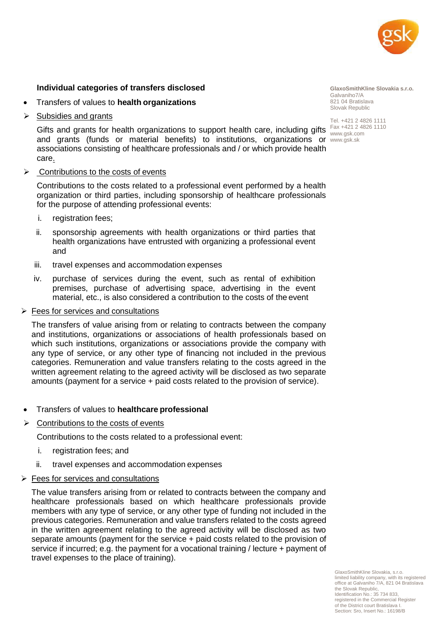

#### **Individual categories of transfers disclosed**

- Transfers of values to **health organizations**
- ➢ Subsidies and grants

Gifts and grants for health organizations to support health care, including gifts  $\frac{Fax + 421}{2}$  4826 1110 and grants (funds or material benefits) to institutions, organizations or [www.gsk.sk](http://www.gsk.sk/)associations consisting of healthcare professionals and / or which provide health care.

➢ Contributions to the costs of events

Contributions to the costs related to a professional event performed by a health organization or third parties, including sponsorship of healthcare professionals for the purpose of attending professional events:

- i. registration fees;
- ii. sponsorship agreements with health organizations or third parties that health organizations have entrusted with organizing a professional event and
- iii. travel expenses and accommodation expenses
- iv. purchase of services during the event, such as rental of exhibition premises, purchase of advertising space, advertising in the event material, etc., is also considered a contribution to the costs of the event

#### ➢ Fees for services and consultations

The transfers of value arising from or relating to contracts between the company and institutions, organizations or associations of health professionals based on which such institutions, organizations or associations provide the company with any type of service, or any other type of financing not included in the previous categories. Remuneration and value transfers relating to the costs agreed in the written agreement relating to the agreed activity will be disclosed as two separate amounts (payment for a service + paid costs related to the provision of service).

- Transfers of values to **healthcare professional**
- $\triangleright$  Contributions to the costs of events

Contributions to the costs related to a professional event:

- i. registration fees; and
- ii. travel expenses and accommodation expenses
- $\triangleright$  Fees for services and consultations

The value transfers arising from or related to contracts between the company and healthcare professionals based on which healthcare professionals provide members with any type of service, or any other type of funding not included in the previous categories. Remuneration and value transfers related to the costs agreed in the written agreement relating to the agreed activity will be disclosed as two separate amounts (payment for the service + paid costs related to the provision of service if incurred; e.g. the payment for a vocational training / lecture + payment of travel expenses to the place of training).

**GlaxoSmithKline Slovakia s.r.o.** Galvaniho7/A 821 04 Bratislava Slovak Republic

Tel. +421 2 4826 1111 [www.gsk.com](http://www.gsk.com/)

GlaxoSmithKline Slovakia, s.r.o. limited liability company, with its registered office at Galvaniho 7/A, 821 04 Bratislava the Slovak Republic, Identification No.: 35 734 833, registered in the Commercial Register of the District court Bratislava I. Section: Sro, Insert No.: 16198/B